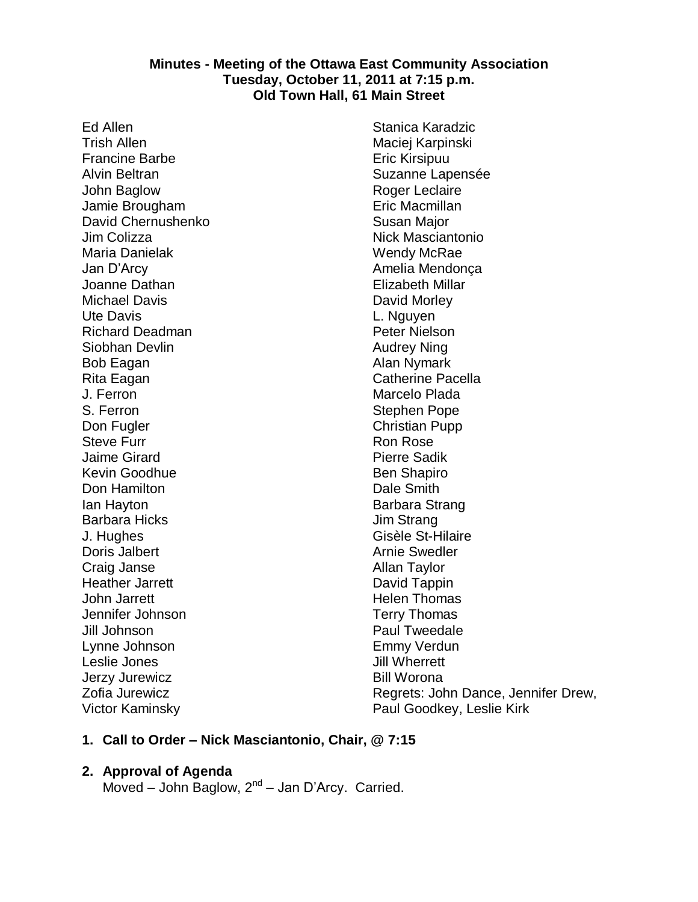#### **Minutes - Meeting of the Ottawa East Community Association Tuesday, October 11, 2011 at 7:15 p.m. Old Town Hall, 61 Main Street**

Ed Allen Trish Allen Francine Barbe Alvin Beltran John Baglow Jamie Brougham David Chernushenko Jim Colizza Maria Danielak Jan D'Arcy Joanne Dathan Michael Davis Ute Davis Richard Deadman Siobhan Devlin Bob Eagan Rita Eagan J. Ferron S. Ferron Don Fugler Steve Furr Jaime Girard Kevin Goodhue Don Hamilton Ian Hayton Barbara Hicks J. Hughes Doris Jalbert Craig Janse Heather Jarrett John Jarrett Jennifer Johnson Jill Johnson Lynne Johnson Leslie Jones Jerzy Jurewicz Zofia Jurewicz Victor Kaminsky

Stanica Karadzic Maciej Karpinski Eric Kirsipuu Suzanne Lapensée Roger Leclaire Eric Macmillan Susan Major Nick Masciantonio Wendy McRae Amelia Mendonça Elizabeth Millar David Morley L. Nguyen Peter Nielson Audrey Ning Alan Nymark Catherine Pacella Marcelo Plada Stephen Pope Christian Pupp Ron Rose Pierre Sadik Ben Shapiro Dale Smith Barbara Strang Jim Strang Gisèle St-Hilaire Arnie Swedler Allan Taylor David Tappin Helen Thomas Terry Thomas Paul Tweedale Emmy Verdun Jill Wherrett Bill Worona Regrets: John Dance, Jennifer Drew, Paul Goodkey, Leslie Kirk

## **1. Call to Order – Nick Masciantonio, Chair, @ 7:15**

#### **2. Approval of Agenda**

Moved - John Baglow, 2<sup>nd</sup> - Jan D'Arcy. Carried.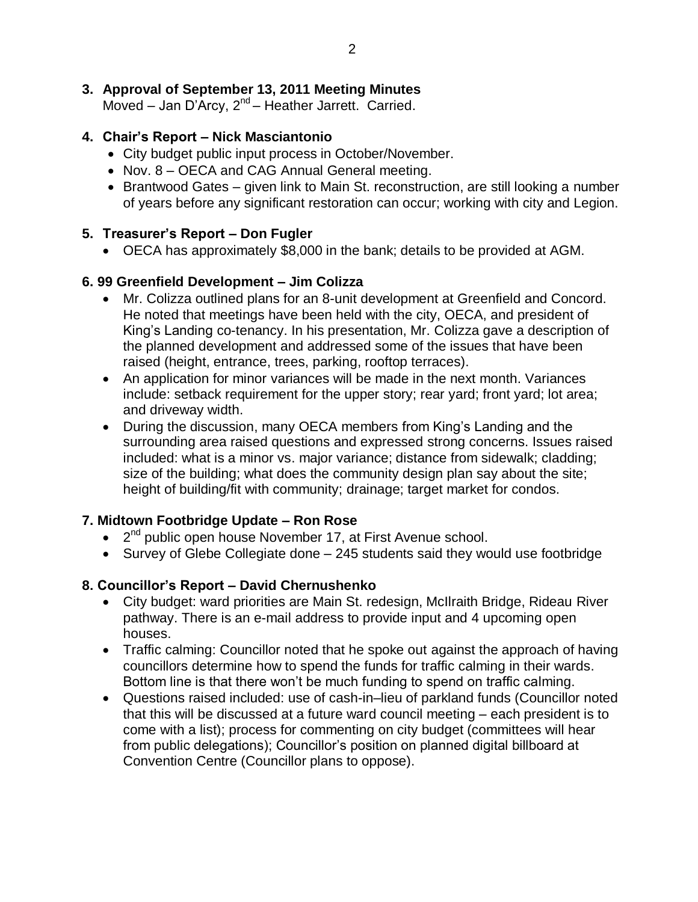# **3. Approval of September 13, 2011 Meeting Minutes**

Moved - Jan D'Arcy, 2<sup>nd</sup> - Heather Jarrett. Carried.

# **4. Chair's Report – Nick Masciantonio**

- City budget public input process in October/November.
- Nov. 8 OECA and CAG Annual General meeting.
- Brantwood Gates given link to Main St. reconstruction, are still looking a number of years before any significant restoration can occur; working with city and Legion.

# **5. Treasurer's Report – Don Fugler**

OECA has approximately \$8,000 in the bank; details to be provided at AGM.

# **6. 99 Greenfield Development – Jim Colizza**

- Mr. Colizza outlined plans for an 8-unit development at Greenfield and Concord. He noted that meetings have been held with the city, OECA, and president of King's Landing co-tenancy. In his presentation, Mr. Colizza gave a description of the planned development and addressed some of the issues that have been raised (height, entrance, trees, parking, rooftop terraces).
- An application for minor variances will be made in the next month. Variances include: setback requirement for the upper story; rear yard; front yard; lot area; and driveway width.
- During the discussion, many OECA members from King's Landing and the surrounding area raised questions and expressed strong concerns. Issues raised included: what is a minor vs. major variance; distance from sidewalk; cladding; size of the building; what does the community design plan say about the site; height of building/fit with community; drainage; target market for condos.

# **7. Midtown Footbridge Update – Ron Rose**

- $\bullet$   $2^{nd}$  public open house November 17, at First Avenue school.
- Survey of Glebe Collegiate done 245 students said they would use footbridge

# **8. Councillor's Report – David Chernushenko**

- City budget: ward priorities are Main St. redesign, McIlraith Bridge, Rideau River pathway. There is an e-mail address to provide input and 4 upcoming open houses.
- Traffic calming: Councillor noted that he spoke out against the approach of having councillors determine how to spend the funds for traffic calming in their wards. Bottom line is that there won't be much funding to spend on traffic calming.
- Questions raised included: use of cash-in–lieu of parkland funds (Councillor noted that this will be discussed at a future ward council meeting – each president is to come with a list); process for commenting on city budget (committees will hear from public delegations); Councillor's position on planned digital billboard at Convention Centre (Councillor plans to oppose).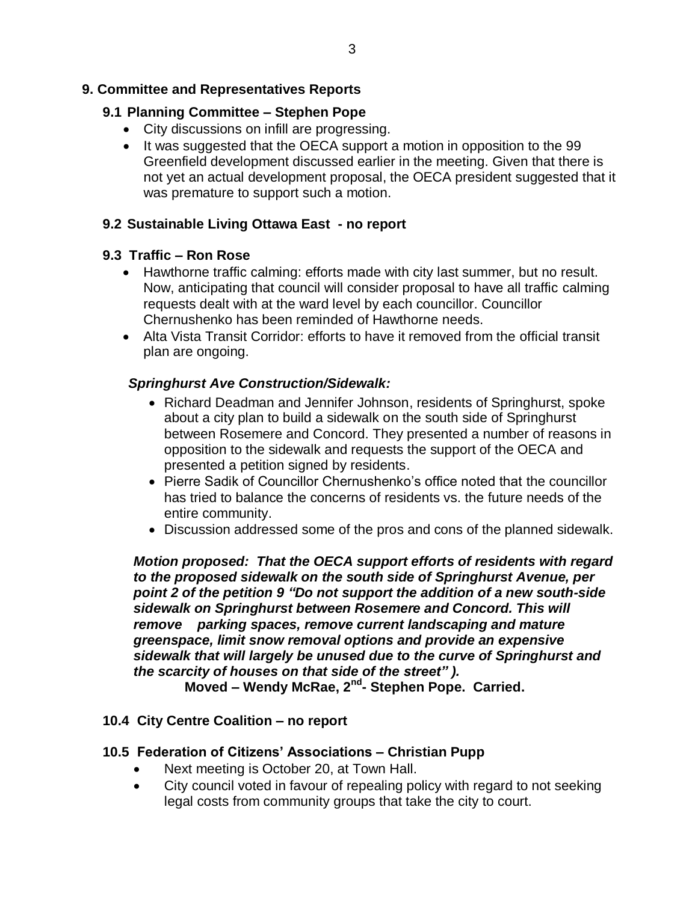## **9. Committee and Representatives Reports**

## **9.1 Planning Committee – Stephen Pope**

- City discussions on infill are progressing.
- It was suggested that the OECA support a motion in opposition to the 99 Greenfield development discussed earlier in the meeting. Given that there is not yet an actual development proposal, the OECA president suggested that it was premature to support such a motion.

## **9.2 Sustainable Living Ottawa East - no report**

## **9.3 Traffic – Ron Rose**

- Hawthorne traffic calming: efforts made with city last summer, but no result. Now, anticipating that council will consider proposal to have all traffic calming requests dealt with at the ward level by each councillor. Councillor Chernushenko has been reminded of Hawthorne needs.
- Alta Vista Transit Corridor: efforts to have it removed from the official transit plan are ongoing.

## *Springhurst Ave Construction/Sidewalk:*

- Richard Deadman and Jennifer Johnson, residents of Springhurst, spoke about a city plan to build a sidewalk on the south side of Springhurst between Rosemere and Concord. They presented a number of reasons in opposition to the sidewalk and requests the support of the OECA and presented a petition signed by residents.
- Pierre Sadik of Councillor Chernushenko's office noted that the councillor has tried to balance the concerns of residents vs. the future needs of the entire community.
- Discussion addressed some of the pros and cons of the planned sidewalk.

*Motion proposed: That the OECA support efforts of residents with regard to the proposed sidewalk on the south side of Springhurst Avenue, per point 2 of the petition 9 "Do not support the addition of a new south-side sidewalk on Springhurst between Rosemere and Concord. This will remove parking spaces, remove current landscaping and mature greenspace, limit snow removal options and provide an expensive sidewalk that will largely be unused due to the curve of Springhurst and the scarcity of houses on that side of the street" ).*

**Moved – Wendy McRae, 2nd - Stephen Pope. Carried.**

#### **10.4 City Centre Coalition – no report**

#### **10.5 Federation of Citizens' Associations – Christian Pupp**

- Next meeting is October 20, at Town Hall.
- City council voted in favour of repealing policy with regard to not seeking legal costs from community groups that take the city to court.